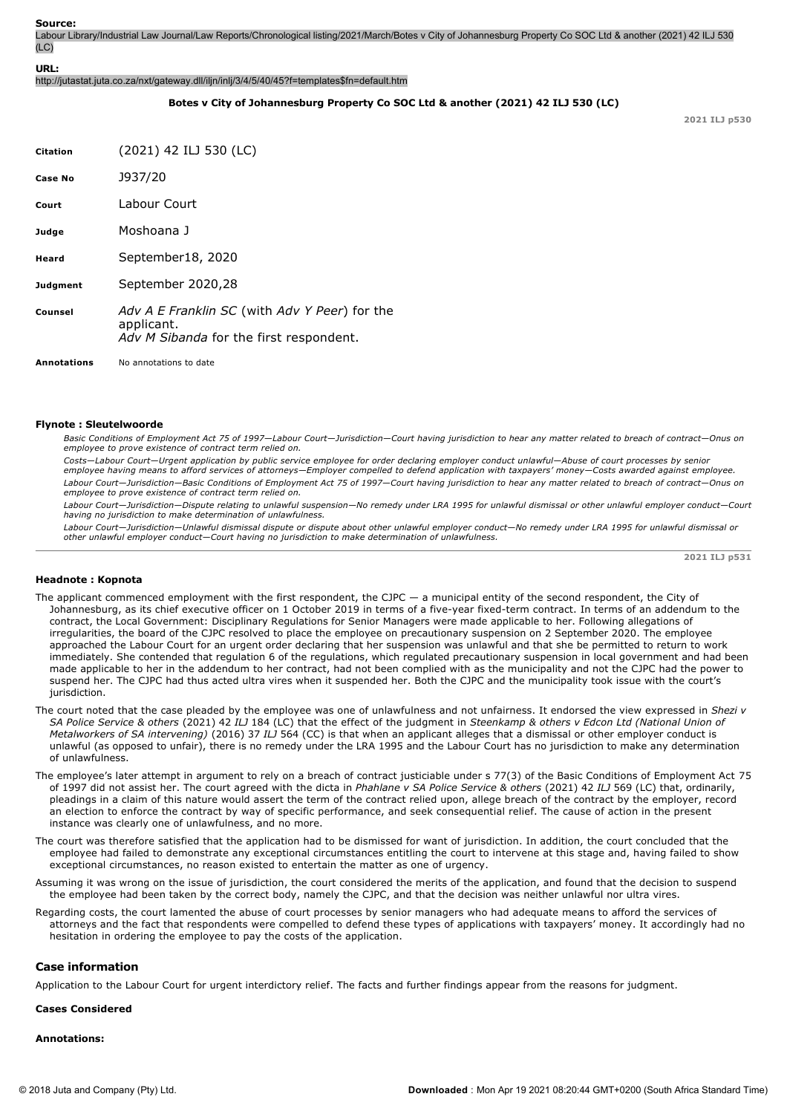Labour Library/Industrial Law Journal/Law Reports/Chronological listing/2021/March/Botes v City of Johannesburg Property Co SOC Ltd & another (2021) 42 ILJ 530 (LC)

**URL:**

http://jutastat.juta.co.za/nxt/gateway.dll/iljn/inlj/3/4/5/40/45?f=templates\$fn=default.htm

## **Botes v City of Johannesburg Property Co SOC Ltd & another (2021) 42 ILJ 530 (LC)**

**2021 ILJ p530**

| <b>Citation</b>    | (2021) 42 ILJ 530 (LC)                                                                                 |
|--------------------|--------------------------------------------------------------------------------------------------------|
| <b>Case No</b>     | J937/20                                                                                                |
| Court              | Labour Court                                                                                           |
| Judge              | Moshoana J                                                                                             |
| Heard              | September18, 2020                                                                                      |
| Judgment           | September 2020,28                                                                                      |
| Counsel            | Adv A E Franklin SC (with Adv Y Peer) for the<br>applicant.<br>Adv M Sibanda for the first respondent. |
| <b>Annotations</b> | No annotations to date                                                                                 |

## **Flynote : Sleutelwoorde**

*Basic Conditions of Employment Act 75 of 1997—Labour Court—Jurisdiction—Court having jurisdiction to hear any matter related to breach of contract—Onus on employee to prove existence of contract term relied on.*

*Costs—Labour Court—Urgent application by public service employee for order declaring employer conduct unlawful—Abuse of court processes by senior employee having means to afford services of attorneys—Employer compelled to defend application with taxpayers' money—Costs awarded against employee. Labour Court—Jurisdiction—Basic Conditions of Employment Act 75 of 1997—Court having jurisdiction to hear any matter related to breach of contract—Onus on employee to prove existence of contract term relied on.*

*Labour Court—Jurisdiction—Dispute relating to unlawful suspension—No remedy under LRA 1995 for unlawful dismissal or other unlawful employer conduct—Court having no jurisdiction to make determination of unlawfulness.*

*Labour Court—Jurisdiction—Unlawful dismissal dispute or dispute about other unlawful employer conduct—No remedy under LRA 1995 for unlawful dismissal or other unlawful employer conduct—Court having no jurisdiction to make determination of unlawfulness.*

**2021 ILJ p531**

## **Headnote : Kopnota**

- The applicant commenced employment with the first respondent, the CJPC  $-$  a municipal entity of the second respondent, the City of Johannesburg, as its chief executive officer on 1 October 2019 in terms of a five-year fixed-term contract. In terms of an addendum to the contract, the Local Government: Disciplinary Regulations for Senior Managers were made applicable to her. Following allegations of irregularities, the board of the CJPC resolved to place the employee on precautionary suspension on 2 September 2020. The employee approached the Labour Court for an urgent order declaring that her suspension was unlawful and that she be permitted to return to work immediately. She contended that regulation 6 of the regulations, which regulated precautionary suspension in local government and had been made applicable to her in the addendum to her contract, had not been complied with as the municipality and not the CJPC had the power to suspend her. The CJPC had thus acted ultra vires when it suspended her. Both the CJPC and the municipality took issue with the court's jurisdiction.
- The court noted that the case pleaded by the employee was one of unlawfulness and not unfairness. It endorsed the view expressed in *Shezi v SA Police Service & others* (2021) 42 *ILJ* 184 (LC) that the effect of the judgment in *Steenkamp & others v Edcon Ltd (National Union of Metalworkers of SA intervening)* (2016) 37 *ILJ* 564 (CC) is that when an applicant alleges that a dismissal or other employer conduct is unlawful (as opposed to unfair), there is no remedy under the LRA 1995 and the Labour Court has no jurisdiction to make any determination of unlawfulness.
- The employee's later attempt in argument to rely on a breach of contract justiciable under s 77(3) of the Basic Conditions of Employment Act 75 of 1997 did not assist her. The court agreed with the dicta in *Phahlane v SA Police Service & others* (2021) 42 *ILJ* 569 (LC) that, ordinarily, pleadings in a claim of this nature would assert the term of the contract relied upon, allege breach of the contract by the employer, record an election to enforce the contract by way of specific performance, and seek consequential relief. The cause of action in the present instance was clearly one of unlawfulness, and no more.
- The court was therefore satisfied that the application had to be dismissed for want of jurisdiction. In addition, the court concluded that the employee had failed to demonstrate any exceptional circumstances entitling the court to intervene at this stage and, having failed to show exceptional circumstances, no reason existed to entertain the matter as one of urgency.
- Assuming it was wrong on the issue of jurisdiction, the court considered the merits of the application, and found that the decision to suspend the employee had been taken by the correct body, namely the CJPC, and that the decision was neither unlawful nor ultra vires.
- Regarding costs, the court lamented the abuse of court processes by senior managers who had adequate means to afford the services of attorneys and the fact that respondents were compelled to defend these types of applications with taxpayers' money. It accordingly had no hesitation in ordering the employee to pay the costs of the application.

## **Case information**

Application to the Labour Court for urgent interdictory relief. The facts and further findings appear from the reasons for judgment.

**Cases Considered**

### **Annotations:**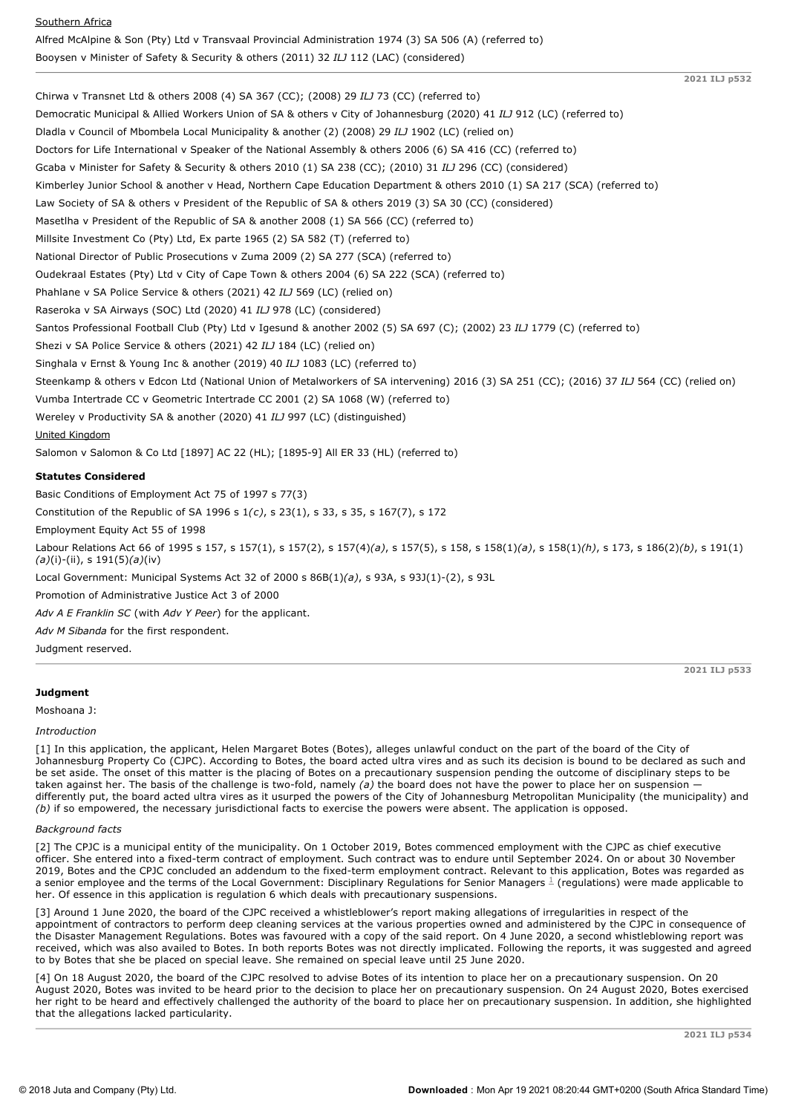| Southern Africa                                                                                         |
|---------------------------------------------------------------------------------------------------------|
| Alfred McAlpine & Son (Pty) Ltd v Transvaal Provincial Administration 1974 (3) SA 506 (A) (referred to) |
| Booysen v Minister of Safety & Security & others (2011) 32 ILJ 112 (LAC) (considered)                   |

Chirwa v Transnet Ltd & others 2008 (4) SA 367 (CC); (2008) 29 *ILJ* 73 (CC) (referred to) Democratic Municipal & Allied Workers Union of SA & others v City of Johannesburg (2020) 41 *ILJ* 912 (LC) (referred to) Dladla v Council of Mbombela Local Municipality & another (2) (2008) 29 *ILJ* 1902 (LC) (relied on) Doctors for Life International v Speaker of the National Assembly & others 2006 (6) SA 416 (CC) (referred to) Gcaba v Minister for Safety & Security & others 2010 (1) SA 238 (CC); (2010) 31 *ILJ* 296 (CC) (considered) Kimberley Junior School & another v Head, Northern Cape Education Department & others 2010 (1) SA 217 (SCA) (referred to) Law Society of SA & others v President of the Republic of SA & others 2019 (3) SA 30 (CC) (considered) Masetlha v President of the Republic of SA & another 2008 (1) SA 566 (CC) (referred to) Millsite Investment Co (Pty) Ltd, Ex parte 1965 (2) SA 582 (T) (referred to) National Director of Public Prosecutions v Zuma 2009 (2) SA 277 (SCA) (referred to) Oudekraal Estates (Pty) Ltd v City of Cape Town & others 2004 (6) SA 222 (SCA) (referred to) Phahlane v SA Police Service & others (2021) 42 *ILJ* 569 (LC) (relied on) Raseroka v SA Airways (SOC) Ltd (2020) 41 *ILJ* 978 (LC) (considered) Santos Professional Football Club (Pty) Ltd v Igesund & another 2002 (5) SA 697 (C); (2002) 23 *ILJ* 1779 (C) (referred to) Shezi v SA Police Service & others (2021) 42 *ILJ* 184 (LC) (relied on) Singhala v Ernst & Young Inc & another (2019) 40 *ILJ* 1083 (LC) (referred to) Steenkamp & others v Edcon Ltd (National Union of Metalworkers of SA intervening) 2016 (3) SA 251 (CC); (2016) 37 *ILJ* 564 (CC) (relied on) Vumba Intertrade CC v Geometric Intertrade CC 2001 (2) SA 1068 (W) (referred to) Wereley v Productivity SA & another (2020) 41 *ILJ* 997 (LC) (distinguished) United Kingdom Salomon v Salomon & Co Ltd [1897] AC 22 (HL); [1895-9] All ER 33 (HL) (referred to) **Statutes Considered** Basic Conditions of Employment Act 75 of 1997 s 77(3) Constitution of the Republic of SA 1996 s 1*(c)*, s 23(1), s 33, s 35, s 167(7), s 172 Employment Equity Act 55 of 1998 Labour Relations Act 66 of 1995 s 157, s 157(1), s 157(2), s 157(4)*(a)*, s 157(5), s 158, s 158(1)*(a)*, s 158(1)*(h)*, s 173, s 186(2)*(b)*, s 191(1) *(a)*(i)-(ii), s 191(5)*(a)*(iv) Local Government: Municipal Systems Act 32 of 2000 s 86B(1)(a), s 93A, s 93J(1)-(2), s 93L Promotion of Administrative Justice Act 3 of 2000 *Adv A E Franklin SC* (with *Adv Y Peer*) for the applicant. *Adv M Sibanda* for the first respondent. Judgment reserved.

# **Judgment**

Moshoana J:

#### *Introduction*

[1] In this application, the applicant, Helen Margaret Botes (Botes), alleges unlawful conduct on the part of the board of the City of Johannesburg Property Co (CJPC). According to Botes, the board acted ultra vires and as such its decision is bound to be declared as such and be set aside. The onset of this matter is the placing of Botes on a precautionary suspension pending the outcome of disciplinary steps to be taken against her. The basis of the challenge is two-fold, namely (a) the board does not have the power to place her on suspension differently put, the board acted ultra vires as it usurped the powers of the City of Johannesburg Metropolitan Municipality (the municipality) and *(b)* if so empowered, the necessary jurisdictional facts to exercise the powers were absent. The application is opposed.

#### *Background facts*

[2] The CPJC is a municipal entity of the municipality. On 1 October 2019, Botes commenced employment with the CJPC as chief executive officer. She entered into a fixed-term contract of employment. Such contract was to endure until September 2024. On or about 30 November 2019, Botes and the CPJC concluded an addendum to the fixed-term employment contract. Relevant to this application, Botes was regarded as a senior employee and the terms of the Local Government: Disciplinary Regulations for Senior Managers  $^{\pm}$  (regulations) were made applicable to her. Of essence in this application is regulation 6 which deals with precautionary suspensions.

[3] Around 1 June 2020, the board of the CJPC received a whistleblower's report making allegations of irregularities in respect of the appointment of contractors to perform deep cleaning services at the various properties owned and administered by the CJPC in consequence of the Disaster Management Regulations. Botes was favoured with a copy of the said report. On 4 June 2020, a second whistleblowing report was received, which was also availed to Botes. In both reports Botes was not directly implicated. Following the reports, it was suggested and agreed to by Botes that she be placed on special leave. She remained on special leave until 25 June 2020.

[4] On 18 August 2020, the board of the CJPC resolved to advise Botes of its intention to place her on a precautionary suspension. On 20 August 2020, Botes was invited to be heard prior to the decision to place her on precautionary suspension. On 24 August 2020, Botes exercised her right to be heard and effectively challenged the authority of the board to place her on precautionary suspension. In addition, she highlighted that the allegations lacked particularity.

**2021 ILJ p533**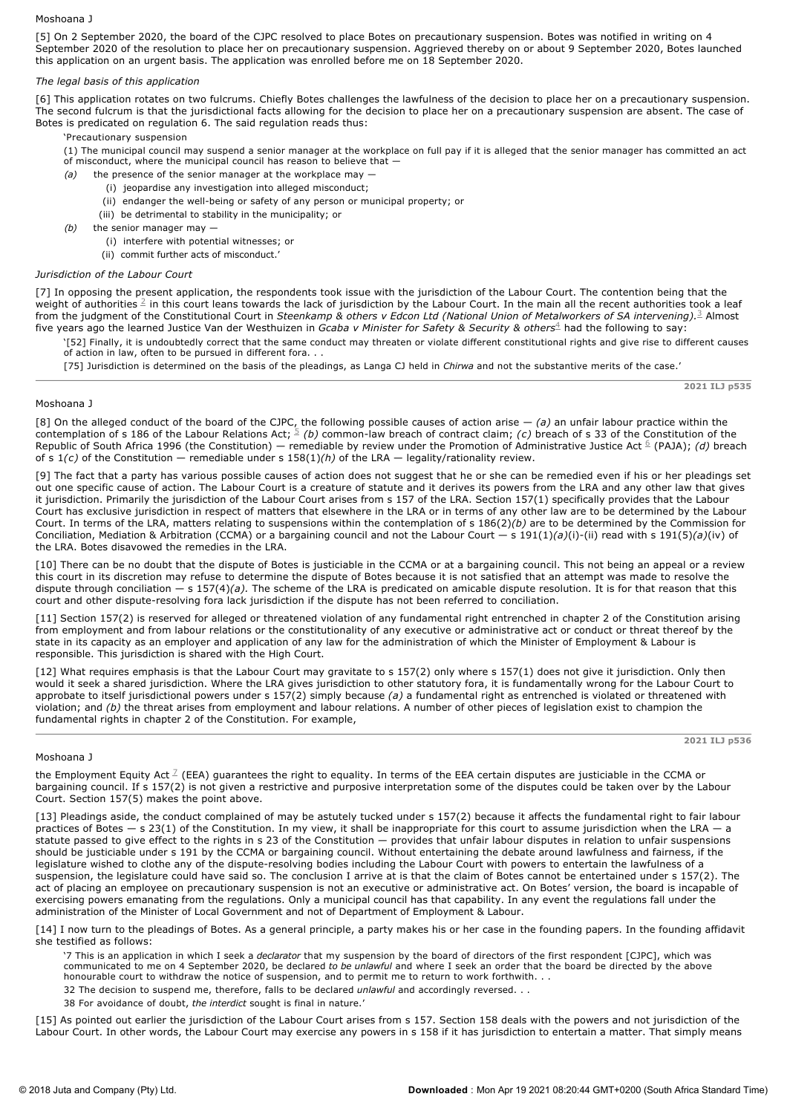## Moshoana J

[5] On 2 September 2020, the board of the CJPC resolved to place Botes on precautionary suspension. Botes was notified in writing on 4 September 2020 of the resolution to place her on precautionary suspension. Aggrieved thereby on or about 9 September 2020, Botes launched this application on an urgent basis. The application was enrolled before me on 18 September 2020.

# *The legal basis of this application*

[6] This application rotates on two fulcrums. Chiefly Botes challenges the lawfulness of the decision to place her on a precautionary suspension. The second fulcrum is that the jurisdictional facts allowing for the decision to place her on a precautionary suspension are absent. The case of Botes is predicated on regulation 6. The said regulation reads thus:

'Precautionary suspension

(1) The municipal council may suspend a senior manager at the workplace on full pay if it is alleged that the senior manager has committed an act of misconduct, where the municipal council has reason to believe that

- *(a)* the presence of the senior manager at the workplace may
	- (i) jeopardise any investigation into alleged misconduct;
	- (ii) endanger the well-being or safety of any person or municipal property; or
	- (iii) be detrimental to stability in the municipality; or
- *(b)* the senior manager may -

(i) interfere with potential witnesses; or

(ii) commit further acts of misconduct.'

## *Jurisdiction of the Labour Court*

[7] In opposing the present application, the respondents took issue with the jurisdiction of the Labour Court. The contention being that the weight of authorities  $^2$  in this court leans towards the lack of jurisdiction by the Labour Court. In the main all the recent authorities took a leaf from the judgment of the Constitutional Court in *Steenkamp & others v Edcon Ltd (National Union of Metalworkers of SA intervening).* 2 Almost five years ago the learned Justice Van der Westhuizen in *Gcaba v Minister for Safety & Security & others* $^4$  had the following to say:

'[52] Finally, it is undoubtedly correct that the same conduct may threaten or violate different constitutional rights and give rise to different causes of action in law, often to be pursued in different fora...

[75] Jurisdiction is determined on the basis of the pleadings, as Langa CJ held in *Chirwa* and not the substantive merits of the case.'

**2021 ILJ p535**

**2021 ILJ p536**

## Moshoana J

[8] On the alleged conduct of the board of the CJPC, the following possible causes of action arise — *(a)* an unfair labour practice within the contemplation of s 186 of the Labour Relations Act;  $\frac{5}{2}$  (*b*) common-law breach of contract claim; (*c*) breach of s 33 of the Constitution of the Republic of South Africa 1996 (the Constitution) — remediable by review under the Promotion of Administrative Justice Act <sup>6</sup> (PAJA); *(d)* breach of s 1*(c)* of the Constitution — remediable under s 158(1)*(h)* of the LRA — legality/rationality review.

[9] The fact that a party has various possible causes of action does not suggest that he or she can be remedied even if his or her pleadings set out one specific cause of action. The Labour Court is a creature of statute and it derives its powers from the LRA and any other law that gives it jurisdiction. Primarily the jurisdiction of the Labour Court arises from s 157 of the LRA. Section 157(1) specifically provides that the Labour Court has exclusive jurisdiction in respect of matters that elsewhere in the LRA or in terms of any other law are to be determined by the Labour Court. In terms of the LRA, matters relating to suspensions within the contemplation of s 186(2)*(b)* are to be determined by the Commission for Conciliation, Mediation & Arbitration (CCMA) or a bargaining council and not the Labour Court — s 191(1)*(a)*(i)(ii) read with s 191(5)*(a)*(iv) of the LRA. Botes disavowed the remedies in the LRA.

[10] There can be no doubt that the dispute of Botes is justiciable in the CCMA or at a bargaining council. This not being an appeal or a review this court in its discretion may refuse to determine the dispute of Botes because it is not satisfied that an attempt was made to resolve the dispute through conciliation  $- s 157(4)(a)$ . The scheme of the LRA is predicated on amicable dispute resolution. It is for that reason that this court and other dispute-resolving fora lack jurisdiction if the dispute has not been referred to conciliation.

[11] Section 157(2) is reserved for alleged or threatened violation of any fundamental right entrenched in chapter 2 of the Constitution arising from employment and from labour relations or the constitutionality of any executive or administrative act or conduct or threat thereof by the state in its capacity as an employer and application of any law for the administration of which the Minister of Employment & Labour is responsible. This jurisdiction is shared with the High Court.

[12] What requires emphasis is that the Labour Court may gravitate to s 157(2) only where s 157(1) does not give it jurisdiction. Only then would it seek a shared jurisdiction. Where the LRA gives jurisdiction to other statutory fora, it is fundamentally wrong for the Labour Court to approbate to itself jurisdictional powers under s 157(2) simply because *(a)* a fundamental right as entrenched is violated or threatened with violation; and *(b)* the threat arises from employment and labour relations. A number of other pieces of legislation exist to champion the fundamental rights in chapter 2 of the Constitution. For example,

## Moshoana J

the Employment Equity Act <sup>7</sup> (EEA) guarantees the right to equality. In terms of the EEA certain disputes are justiciable in the CCMA or bargaining council. If s 157(2) is not given a restrictive and purposive interpretation some of the disputes could be taken over by the Labour Court. Section 157(5) makes the point above.

[13] Pleadings aside, the conduct complained of may be astutely tucked under s 157(2) because it affects the fundamental right to fair labour practices of Botes — s 23(1) of the Constitution. In my view, it shall be inappropriate for this court to assume jurisdiction when the LRA — a statute passed to give effect to the rights in s 23 of the Constitution — provides that unfair labour disputes in relation to unfair suspensions should be justiciable under s 191 by the CCMA or bargaining council. Without entertaining the debate around lawfulness and fairness, if the legislature wished to clothe any of the dispute-resolving bodies including the Labour Court with powers to entertain the lawfulness of a suspension, the legislature could have said so. The conclusion I arrive at is that the claim of Botes cannot be entertained under s 157(2). The act of placing an employee on precautionary suspension is not an executive or administrative act. On Botes' version, the board is incapable of exercising powers emanating from the regulations. Only a municipal council has that capability. In any event the regulations fall under the administration of the Minister of Local Government and not of Department of Employment & Labour.

[14] I now turn to the pleadings of Botes. As a general principle, a party makes his or her case in the founding papers. In the founding affidavit she testified as follows:

'7 This is an application in which I seek a *declarator* that my suspension by the board of directors of the first respondent [CJPC], which was<br>communicated to me on 4 September 2020, be declared *to be unlawful* and where honourable court to withdraw the notice of suspension, and to permit me to return to work forthwith. . .

- 32 The decision to suspend me, therefore, falls to be declared *unlawful* and accordingly reversed. . .
- 38 For avoidance of doubt, *the interdict* sought is final in nature.'

[15] As pointed out earlier the jurisdiction of the Labour Court arises from s 157. Section 158 deals with the powers and not jurisdiction of the Labour Court. In other words, the Labour Court may exercise any powers in s 158 if it has jurisdiction to entertain a matter. That simply means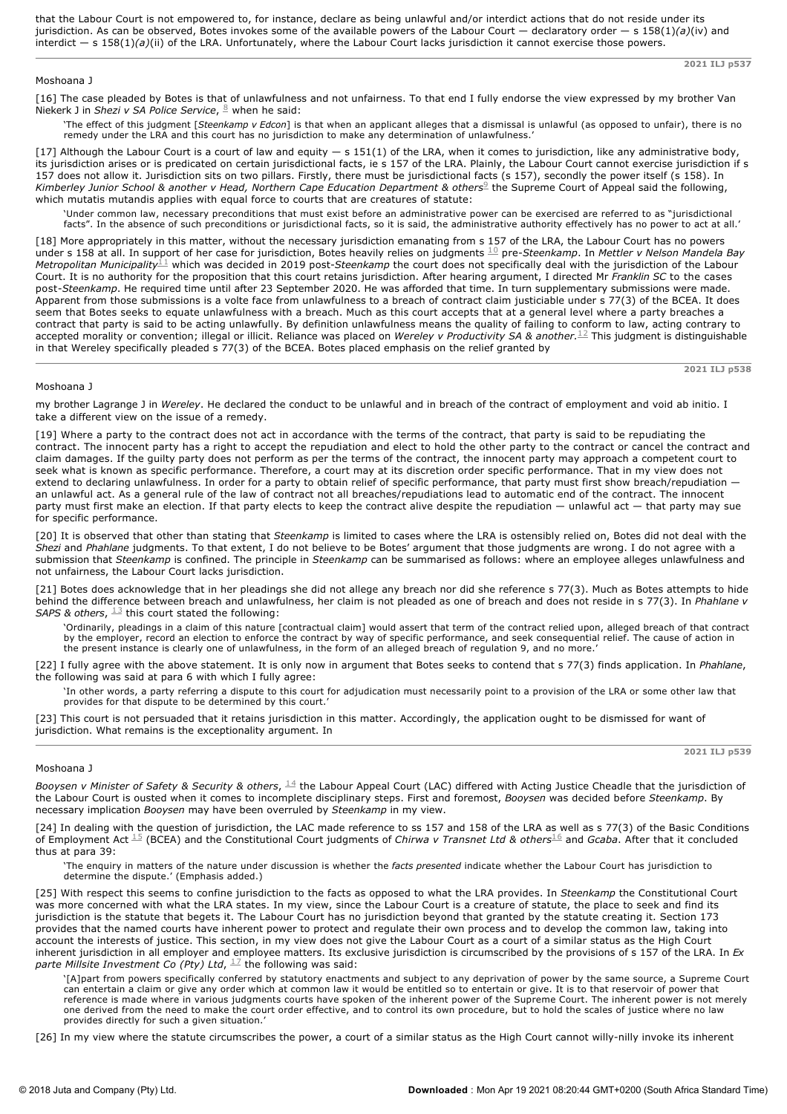that the Labour Court is not empowered to, for instance, declare as being unlawful and/or interdict actions that do not reside under its jurisdiction. As can be observed, Botes invokes some of the available powers of the Labour Court — declaratory order — s 158(1)*(a)*(iv) and interdict — s 158(1)*(a)*(ii) of the LRA. Unfortunately, where the Labour Court lacks jurisdiction it cannot exercise those powers.

# Moshoana J

[16] The case pleaded by Botes is that of unlawfulness and not unfairness. To that end I fully endorse the view expressed by my brother Van Niekerk J in *Shezi v SA Police Service*, <sup>8</sup> when he said:

'The effect of this judgment [*Steenkamp v Edcon*] is that when an applicant alleges that a dismissal is unlawful (as opposed to unfair), there is no remedy under the LRA and this court has no jurisdiction to make any determination of unlawfulness.'

[17] Although the Labour Court is a court of law and equity  $- s 151(1)$  of the LRA, when it comes to jurisdiction, like any administrative body, its jurisdiction arises or is predicated on certain jurisdictional facts, ie s 157 of the LRA. Plainly, the Labour Court cannot exercise jurisdiction if s 157 does not allow it. Jurisdiction sits on two pillars. Firstly, there must be jurisdictional facts (s 157), secondly the power itself (s 158). In Kimberley Junior School & another v Head, Northern Cape Education Department & others<sup>9</sup> the Supreme Court of Appeal said the following, which mutatis mutandis applies with equal force to courts that are creatures of statute:

'Under common law, necessary preconditions that must exist before an administrative power can be exercised are referred to as "jurisdictional facts". In the absence of such preconditions or jurisdictional facts, so it is said, the administrative authority effectively has no power to act at all.'

[18] More appropriately in this matter, without the necessary jurisdiction emanating from s 157 of the LRA, the Labour Court has no powers under s 158 at all. In support of her case for jurisdiction, Botes heavily relies on judgments  $^{10}_{-}$  pre-*Steenkamp*. In *Mettler v Nelson Mandela Bay* Metropolitan Municipality  $^{1\pm}$  which was decided in 2019 post-*Steenkamp* the court does not specifically deal with the jurisdiction of the Labour Court. It is no authority for the proposition that this court retains jurisdiction. After hearing argument, I directed Mr *Franklin SC* to the cases post*Steenkamp*. He required time until after 23 September 2020. He was afforded that time. In turn supplementary submissions were made. Apparent from those submissions is a volte face from unlawfulness to a breach of contract claim justiciable under s 77(3) of the BCEA. It does seem that Botes seeks to equate unlawfulness with a breach. Much as this court accepts that at a general level where a party breaches a contract that party is said to be acting unlawfully. By definition unlawfulness means the quality of failing to conform to law, acting contrary to accepted morality or convention; illegal or illicit. Reliance was placed on *Wereley v Productivity SA & another.* I This judgment is distinguishable in that Wereley specifically pleaded s 77(3) of the BCEA. Botes placed emphasis on the relief granted by

## Moshoana J

my brother Lagrange J in *Wereley*. He declared the conduct to be unlawful and in breach of the contract of employment and void ab initio. I take a different view on the issue of a remedy.

[19] Where a party to the contract does not act in accordance with the terms of the contract, that party is said to be repudiating the contract. The innocent party has a right to accept the repudiation and elect to hold the other party to the contract or cancel the contract and claim damages. If the guilty party does not perform as per the terms of the contract, the innocent party may approach a competent court to seek what is known as specific performance. Therefore, a court may at its discretion order specific performance. That in my view does not extend to declaring unlawfulness. In order for a party to obtain relief of specific performance, that party must first show breach/repudiation an unlawful act. As a general rule of the law of contract not all breaches/repudiations lead to automatic end of the contract. The innocent party must first make an election. If that party elects to keep the contract alive despite the repudiation — unlawful act — that party may sue for specific performance.

[20] It is observed that other than stating that *Steenkamp* is limited to cases where the LRA is ostensibly relied on, Botes did not deal with the *Shezi* and *Phahlane* judgments. To that extent, I do not believe to be Botes' argument that those judgments are wrong. I do not agree with a submission that *Steenkamp* is confined. The principle in *Steenkamp* can be summarised as follows: where an employee alleges unlawfulness and not unfairness, the Labour Court lacks jurisdiction.

[21] Botes does acknowledge that in her pleadings she did not allege any breach nor did she reference s 77(3). Much as Botes attempts to hide behind the difference between breach and unlawfulness, her claim is not pleaded as one of breach and does not reside in s 77(3). In *Phahlane v* SAPS & others,  $1/3$  this court stated the following:

'Ordinarily, pleadings in a claim of this nature [contractual claim] would assert that term of the contract relied upon, alleged breach of that contract by the employer, record an election to enforce the contract by way of specific performance, and seek consequential relief. The cause of action in the present instance is clearly one of unlawfulness, in the form of an alleged breach of regulation 9, and no more.'

[22] I fully agree with the above statement. It is only now in argument that Botes seeks to contend that s 77(3) finds application. In *Phahlane*, the following was said at para 6 with which I fully agree:

'In other words, a party referring a dispute to this court for adjudication must necessarily point to a provision of the LRA or some other law that provides for that dispute to be determined by this court.

[23] This court is not persuaded that it retains jurisdiction in this matter. Accordingly, the application ought to be dismissed for want of jurisdiction. What remains is the exceptionality argument. In

## Moshoana J

*Booysen v Minister of Safety & Security & others,*  $^{14}$  the Labour Appeal Court (LAC) differed with Acting Justice Cheadle that the jurisdiction of the Labour Court is ousted when it comes to incomplete disciplinary steps. First and foremost, *Booysen* was decided before *Steenkamp*. By necessary implication *Booysen* may have been overruled by *Steenkamp* in my view.

[24] In dealing with the question of jurisdiction, the LAC made reference to ss 157 and 158 of the LRA as well as s 77(3) of the Basic Conditions of Employment Act  $^{15}$  (BCEA) and the Constitutional Court judgments of *Chirwa v Transnet Ltd & others*  $^{16}$  and *Gcaba*. After that it concluded thus at para 39:

'The enquiry in matters of the nature under discussion is whether the *facts presented* indicate whether the Labour Court has jurisdiction to determine the dispute.' (Emphasis added.)

[25] With respect this seems to confine jurisdiction to the facts as opposed to what the LRA provides. In *Steenkamp* the Constitutional Court was more concerned with what the LRA states. In my view, since the Labour Court is a creature of statute, the place to seek and find its jurisdiction is the statute that begets it. The Labour Court has no jurisdiction beyond that granted by the statute creating it. Section 173 provides that the named courts have inherent power to protect and regulate their own process and to develop the common law, taking into account the interests of justice. This section, in my view does not give the Labour Court as a court of a similar status as the High Court inherent jurisdiction in all employer and employee matters. Its exclusive jurisdiction is circumscribed by the provisions of s 157 of the LRA. In *Ex parte Millsite Investment Co (Pty) Ltd*,  $^{17}$  the following was said:

'[A]part from powers specifically conferred by statutory enactments and subject to any deprivation of power by the same source, a Supreme Court can entertain a claim or give any order which at common law it would be entitled so to entertain or give. It is to that reservoir of power that reference is made where in various judgments courts have spoken of the inherent power of the Supreme Court. The inherent power is not merely one derived from the need to make the court order effective, and to control its own procedure, but to hold the scales of justice where no law provides directly for such a given situation.'

[26] In my view where the statute circumscribes the power, a court of a similar status as the High Court cannot willy-nilly invoke its inherent

**2021 ILJ p537**

**2021 ILJ p538**

**2021 ILJ p539**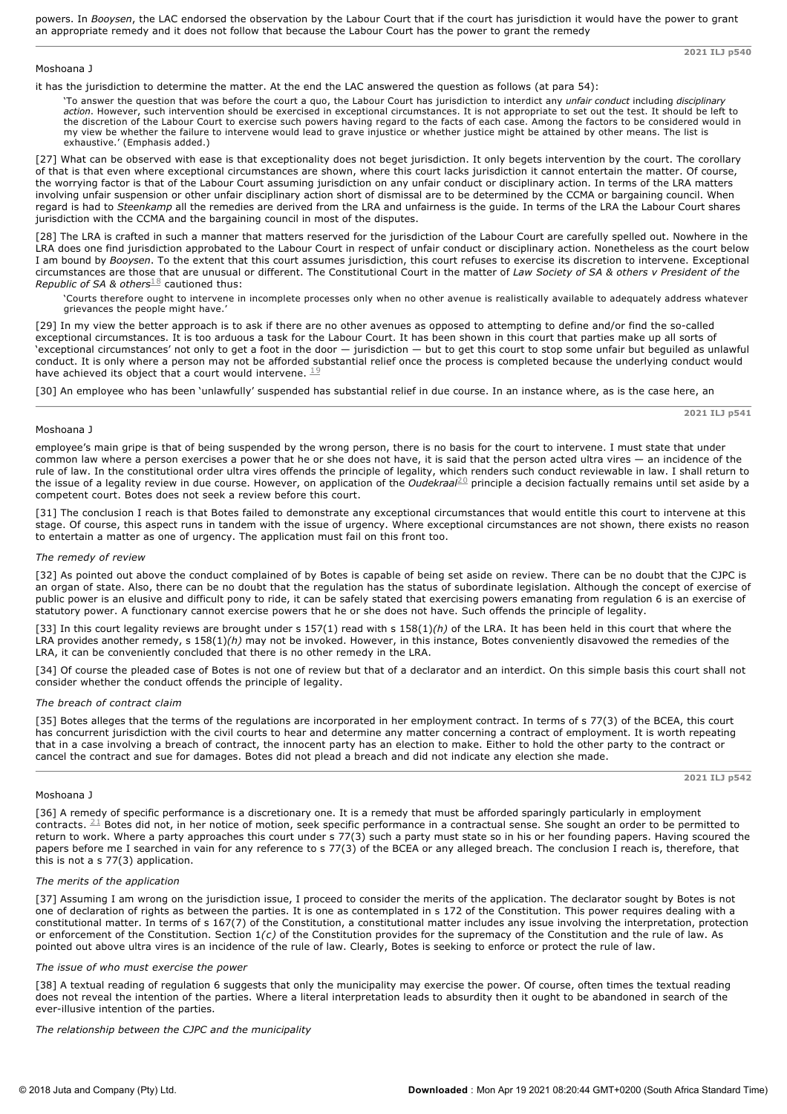powers. In *Booysen*, the LAC endorsed the observation by the Labour Court that if the court has jurisdiction it would have the power to grant an appropriate remedy and it does not follow that because the Labour Court has the power to grant the remedy

**2021 ILJ p540**

**2021 ILJ p541**

#### Moshoana J

it has the jurisdiction to determine the matter. At the end the LAC answered the question as follows (at para 54):

'To answer the question that was before the court a quo, the Labour Court has jurisdiction to interdict any *unfair conduct* including *disciplinary action*. However, such intervention should be exercised in exceptional circumstances. It is not appropriate to set out the test. It should be left to the discretion of the Labour Court to exercise such powers having regard to the facts of each case. Among the factors to be considered would in my view be whether the failure to intervene would lead to grave injustice or whether justice might be attained by other means. The list is exhaustive.' (Emphasis added.)

[27] What can be observed with ease is that exceptionality does not beget jurisdiction. It only begets intervention by the court. The corollary of that is that even where exceptional circumstances are shown, where this court lacks jurisdiction it cannot entertain the matter. Of course, the worrying factor is that of the Labour Court assuming jurisdiction on any unfair conduct or disciplinary action. In terms of the LRA matters involving unfair suspension or other unfair disciplinary action short of dismissal are to be determined by the CCMA or bargaining council. When regard is had to *Steenkamp* all the remedies are derived from the LRA and unfairness is the guide. In terms of the LRA the Labour Court shares jurisdiction with the CCMA and the bargaining council in most of the disputes.

[28] The LRA is crafted in such a manner that matters reserved for the jurisdiction of the Labour Court are carefully spelled out. Nowhere in the LRA does one find jurisdiction approbated to the Labour Court in respect of unfair conduct or disciplinary action. Nonetheless as the court below I am bound by *Booysen*. To the extent that this court assumes jurisdiction, this court refuses to exercise its discretion to intervene. Exceptional circumstances are those that are unusual or different. The Constitutional Court in the matter of *Law Society of SA & others v President of the Republic of SA & others*  $^{18}$  cautioned thus:

'Courts therefore ought to intervene in incomplete processes only when no other avenue is realistically available to adequately address whatever grievances the people might have.

[29] In my view the better approach is to ask if there are no other avenues as opposed to attempting to define and/or find the so-called exceptional circumstances. It is too arduous a task for the Labour Court. It has been shown in this court that parties make up all sorts of 'exceptional circumstances' not only to get a foot in the door — jurisdiction — but to get this court to stop some unfair but beguiled as unlawful conduct. It is only where a person may not be afforded substantial relief once the process is completed because the underlying conduct would have achieved its object that a court would intervene.  $19$ 

[30] An employee who has been 'unlawfully' suspended has substantial relief in due course. In an instance where, as is the case here, an

#### Moshoana J

employee's main gripe is that of being suspended by the wrong person, there is no basis for the court to intervene. I must state that under common law where a person exercises a power that he or she does not have, it is said that the person acted ultra vires — an incidence of the rule of law. In the constitutional order ultra vires offends the principle of legality, which renders such conduct reviewable in law. I shall return to the issue of a legality review in due course. However, on application of the *Oudekraal<sup>20</sup>* principle a decision factually remains until set aside by a competent court. Botes does not seek a review before this court.

[31] The conclusion I reach is that Botes failed to demonstrate any exceptional circumstances that would entitle this court to intervene at this stage. Of course, this aspect runs in tandem with the issue of urgency. Where exceptional circumstances are not shown, there exists no reason to entertain a matter as one of urgency. The application must fail on this front too.

## *The remedy of review*

[32] As pointed out above the conduct complained of by Botes is capable of being set aside on review. There can be no doubt that the CJPC is an organ of state. Also, there can be no doubt that the regulation has the status of subordinate legislation. Although the concept of exercise of public power is an elusive and difficult pony to ride, it can be safely stated that exercising powers emanating from regulation 6 is an exercise of statutory power. A functionary cannot exercise powers that he or she does not have. Such offends the principle of legality.

[33] In this court legality reviews are brought under s 157(1) read with s 158(1)*(h)* of the LRA. It has been held in this court that where the LRA provides another remedy, s 158(1)*(h)* may not be invoked. However, in this instance, Botes conveniently disavowed the remedies of the LRA, it can be conveniently concluded that there is no other remedy in the LRA.

[34] Of course the pleaded case of Botes is not one of review but that of a declarator and an interdict. On this simple basis this court shall not consider whether the conduct offends the principle of legality.

#### *The breach of contract claim*

[35] Botes alleges that the terms of the regulations are incorporated in her employment contract. In terms of s 77(3) of the BCEA, this court has concurrent jurisdiction with the civil courts to hear and determine any matter concerning a contract of employment. It is worth repeating that in a case involving a breach of contract, the innocent party has an election to make. Either to hold the other party to the contract or cancel the contract and sue for damages. Botes did not plead a breach and did not indicate any election she made.

## **2021 ILJ p542**

## Moshoana J

[36] A remedy of specific performance is a discretionary one. It is a remedy that must be afforded sparingly particularly in employment contracts.  $^{21}$  Botes did not, in her notice of motion, seek specific performance in a contractual sense. She sought an order to be permitted to return to work. Where a party approaches this court under s 77(3) such a party must state so in his or her founding papers. Having scoured the papers before me I searched in vain for any reference to s 77(3) of the BCEA or any alleged breach. The conclusion I reach is, therefore, that this is not a s 77(3) application.

### *The merits of the application*

[37] Assuming I am wrong on the jurisdiction issue, I proceed to consider the merits of the application. The declarator sought by Botes is not one of declaration of rights as between the parties. It is one as contemplated in s 172 of the Constitution. This power requires dealing with a constitutional matter. In terms of s 167(7) of the Constitution, a constitutional matter includes any issue involving the interpretation, protection or enforcement of the Constitution. Section 1*(c)* of the Constitution provides for the supremacy of the Constitution and the rule of law. As pointed out above ultra vires is an incidence of the rule of law. Clearly, Botes is seeking to enforce or protect the rule of law.

#### *The issue of who must exercise the power*

[38] A textual reading of regulation 6 suggests that only the municipality may exercise the power. Of course, often times the textual reading does not reveal the intention of the parties. Where a literal interpretation leads to absurdity then it ought to be abandoned in search of the ever-illusive intention of the parties.

*The relationship between the CJPC and the municipality*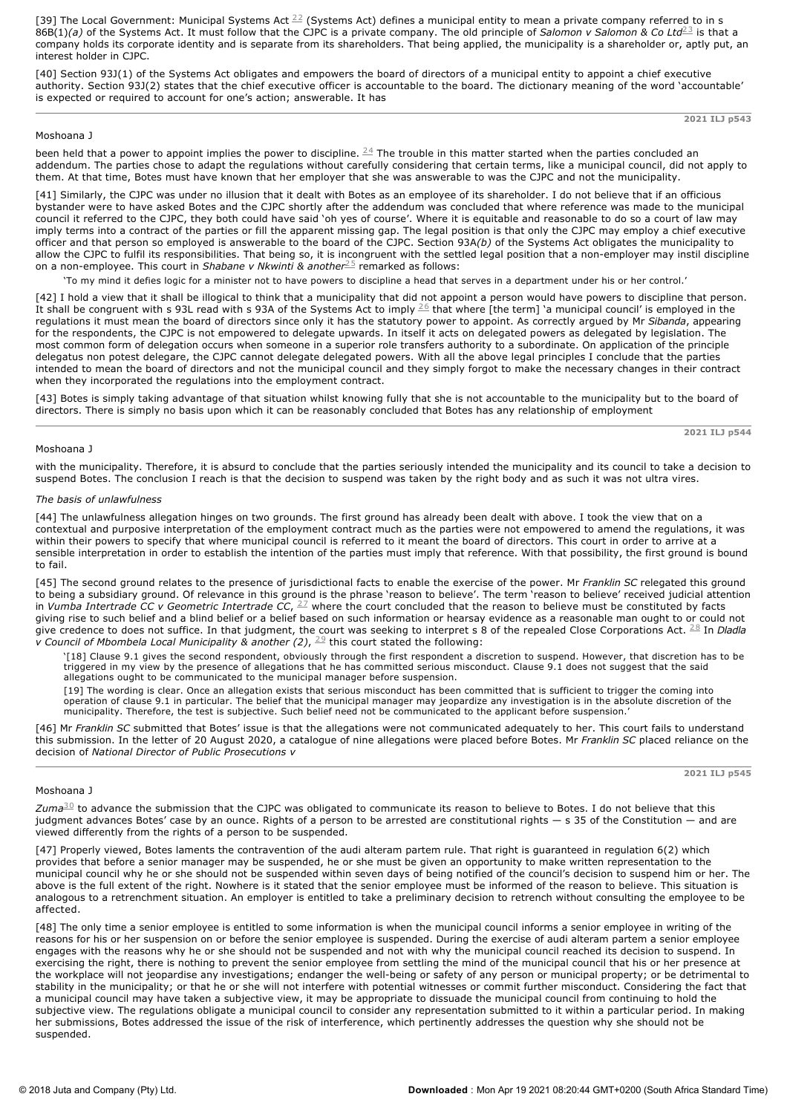[39] The Local Government: Municipal Systems Act  $^{22}$  (Systems Act) defines a municipal entity to mean a private company referred to in s 86B(1)(a) of the Systems Act. It must follow that the CJPC is a private company. The old principle of Salomon v Salomon & Co Ltd<sup>23</sup> is that a company holds its corporate identity and is separate from its shareholders. That being applied, the municipality is a shareholder or, aptly put, an interest holder in CJPC.

[40] Section 93J(1) of the Systems Act obligates and empowers the board of directors of a municipal entity to appoint a chief executive authority. Section 93J(2) states that the chief executive officer is accountable to the board. The dictionary meaning of the word 'accountable' is expected or required to account for one's action; answerable. It has

**2021 ILJ p543**

# Moshoana J

been held that a power to appoint implies the power to discipline.  $^{24}$  The trouble in this matter started when the parties concluded an addendum. The parties chose to adapt the regulations without carefully considering that certain terms, like a municipal council, did not apply to them. At that time, Botes must have known that her employer that she was answerable to was the CJPC and not the municipality.

[41] Similarly, the CJPC was under no illusion that it dealt with Botes as an employee of its shareholder. I do not believe that if an officious bystander were to have asked Botes and the CJPC shortly after the addendum was concluded that where reference was made to the municipal council it referred to the CJPC, they both could have said 'oh yes of course'. Where it is equitable and reasonable to do so a court of law may imply terms into a contract of the parties or fill the apparent missing gap. The legal position is that only the CJPC may employ a chief executive officer and that person so employed is answerable to the board of the CJPC. Section 93A*(b)* of the Systems Act obligates the municipality to allow the CJPC to fulfil its responsibilities. That being so, it is incongruent with the settled legal position that a non-employer may instil discipline on a non-employee. This court in *Shabane v Nkwinti & another<sup>25</sup>* remarked as follows:

'To my mind it defies logic for a minister not to have powers to discipline a head that serves in a department under his or her control.'

[42] I hold a view that it shall be illogical to think that a municipality that did not appoint a person would have powers to discipline that person. It shall be congruent with s 93L read with s 93A of the Systems Act to imply  $^{\underline{2}6}$  that where [the term] `a municipal council' is employed in the regulations it must mean the board of directors since only it has the statutory power to appoint. As correctly argued by Mr *Sibanda*, appearing for the respondents, the CJPC is not empowered to delegate upwards. In itself it acts on delegated powers as delegated by legislation. The most common form of delegation occurs when someone in a superior role transfers authority to a subordinate. On application of the principle delegatus non potest delegare, the CJPC cannot delegate delegated powers. With all the above legal principles I conclude that the parties intended to mean the board of directors and not the municipal council and they simply forgot to make the necessary changes in their contract when they incorporated the regulations into the employment contract.

[43] Botes is simply taking advantage of that situation whilst knowing fully that she is not accountable to the municipality but to the board of directors. There is simply no basis upon which it can be reasonably concluded that Botes has any relationship of employment

**2021 ILJ p544**

### Moshoana J

with the municipality. Therefore, it is absurd to conclude that the parties seriously intended the municipality and its council to take a decision to suspend Botes. The conclusion I reach is that the decision to suspend was taken by the right body and as such it was not ultra vires.

#### *The basis of unlawfulness*

[44] The unlawfulness allegation hinges on two grounds. The first ground has already been dealt with above. I took the view that on a contextual and purposive interpretation of the employment contract much as the parties were not empowered to amend the regulations, it was within their powers to specify that where municipal council is referred to it meant the board of directors. This court in order to arrive at a sensible interpretation in order to establish the intention of the parties must imply that reference. With that possibility, the first ground is bound to fail.

[45] The second ground relates to the presence of jurisdictional facts to enable the exercise of the power. Mr *Franklin SC* relegated this ground to being a subsidiary ground. Of relevance in this ground is the phrase 'reason to believe'. The term 'reason to believe' received judicial attention in *Vumba Intertrade CC v Geometric Intertrade CC,*  $^{27}$  where the court concluded that the reason to believe must be constituted by facts giving rise to such belief and a blind belief or a belief based on such information or hearsay evidence as a reasonable man ought to or could not give credence to does not suffice. In that judgment, the court was seeking to interpret s 8 of the repealed Close Corporations Act. <sup>28</sup> In *Dladla v* Council of Mbombela Local Municipality & another  $(2)$ ,  $\stackrel{29}{\sim}$  this court stated the following:

'[18] Clause 9.1 gives the second respondent, obviously through the first respondent a discretion to suspend. However, that discretion has to be triggered in my view by the presence of allegations that he has committed serious misconduct. Clause 9.1 does not suggest that the said allegations ought to be communicated to the municipal manager before suspension.

[19] The wording is clear. Once an allegation exists that serious misconduct has been committed that is sufficient to trigger the coming into operation of clause 9.1 in particular. The belief that the municipal manager may jeopardize any investigation is in the absolute discretion of the municipality. Therefore, the test is subjective. Such belief need not be communicated to the applicant before suspension.'

[46] Mr *Franklin SC* submitted that Botes' issue is that the allegations were not communicated adequately to her. This court fails to understand this submission. In the letter of 20 August 2020, a catalogue of nine allegations were placed before Botes. Mr *Franklin SC* placed reliance on the decision of *National Director of Public Prosecutions v*

## **2021 ILJ p545**

# Moshoana J

 $Zuma<sup>30</sup>$  to advance the submission that the CJPC was obligated to communicate its reason to believe to Botes. I do not believe that this judgment advances Botes' case by an ounce. Rights of a person to be arrested are constitutional rights  $-$  s 35 of the Constitution  $-$  and are viewed differently from the rights of a person to be suspended.

[47] Properly viewed, Botes laments the contravention of the audi alteram partem rule. That right is guaranteed in regulation 6(2) which provides that before a senior manager may be suspended, he or she must be given an opportunity to make written representation to the municipal council why he or she should not be suspended within seven days of being notified of the council's decision to suspend him or her. The above is the full extent of the right. Nowhere is it stated that the senior employee must be informed of the reason to believe. This situation is analogous to a retrenchment situation. An employer is entitled to take a preliminary decision to retrench without consulting the employee to be affected.

[48] The only time a senior employee is entitled to some information is when the municipal council informs a senior employee in writing of the reasons for his or her suspension on or before the senior employee is suspended. During the exercise of audi alteram partem a senior employee engages with the reasons why he or she should not be suspended and not with why the municipal council reached its decision to suspend. In exercising the right, there is nothing to prevent the senior employee from settling the mind of the municipal council that his or her presence at the workplace will not jeopardise any investigations; endanger the well-being or safety of any person or municipal property; or be detrimental to stability in the municipality; or that he or she will not interfere with potential witnesses or commit further misconduct. Considering the fact that a municipal council may have taken a subjective view, it may be appropriate to dissuade the municipal council from continuing to hold the subjective view. The regulations obligate a municipal council to consider any representation submitted to it within a particular period. In making her submissions, Botes addressed the issue of the risk of interference, which pertinently addresses the question why she should not be suspended.